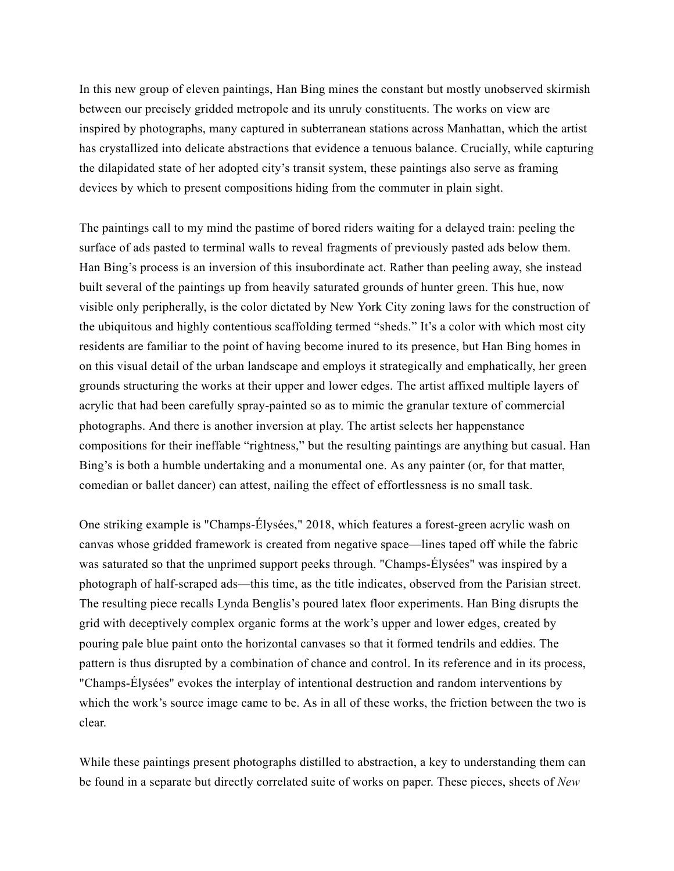In this new group of eleven paintings, Han Bing mines the constant but mostly unobserved skirmish between our precisely gridded metropole and its unruly constituents. The works on view are inspired by photographs, many captured in subterranean stations across Manhattan, which the artist has crystallized into delicate abstractions that evidence a tenuous balance. Crucially, while capturing the dilapidated state of her adopted city's transit system, these paintings also serve as framing devices by which to present compositions hiding from the commuter in plain sight.

The paintings call to my mind the pastime of bored riders waiting for a delayed train: peeling the surface of ads pasted to terminal walls to reveal fragments of previously pasted ads below them. Han Bing's process is an inversion of this insubordinate act. Rather than peeling away, she instead built several of the paintings up from heavily saturated grounds of hunter green. This hue, now visible only peripherally, is the color dictated by New York City zoning laws for the construction of the ubiquitous and highly contentious scaffolding termed "sheds." It's a color with which most city residents are familiar to the point of having become inured to its presence, but Han Bing homes in on this visual detail of the urban landscape and employs it strategically and emphatically, her green grounds structuring the works at their upper and lower edges. The artist affixed multiple layers of acrylic that had been carefully spray-painted so as to mimic the granular texture of commercial photographs. And there is another inversion at play. The artist selects her happenstance compositions for their ineffable "rightness," but the resulting paintings are anything but casual. Han Bing's is both a humble undertaking and a monumental one. As any painter (or, for that matter, comedian or ballet dancer) can attest, nailing the effect of effortlessness is no small task.

One striking example is "Champs-Élysées," 2018, which features a forest-green acrylic wash on canvas whose gridded framework is created from negative space—lines taped off while the fabric was saturated so that the unprimed support peeks through. "Champs-Élysées" was inspired by a photograph of half-scraped ads—this time, as the title indicates, observed from the Parisian street. The resulting piece recalls Lynda Benglis's poured latex floor experiments. Han Bing disrupts the grid with deceptively complex organic forms at the work's upper and lower edges, created by pouring pale blue paint onto the horizontal canvases so that it formed tendrils and eddies. The pattern is thus disrupted by a combination of chance and control. In its reference and in its process, "Champs-Élysées" evokes the interplay of intentional destruction and random interventions by which the work's source image came to be. As in all of these works, the friction between the two is clear.

While these paintings present photographs distilled to abstraction, a key to understanding them can be found in a separate but directly correlated suite of works on paper. These pieces, sheets of *New*